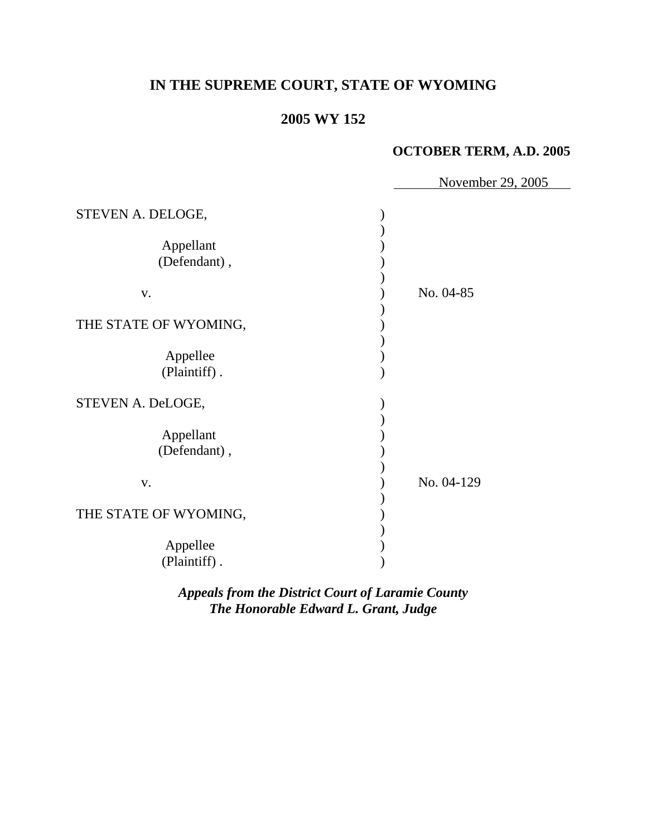# **IN THE SUPREME COURT, STATE OF WYOMING**

## **2005 WY 152**

#### **OCTOBER TERM, A.D. 2005**

|                                                      | November 29, 2005 |
|------------------------------------------------------|-------------------|
| STEVEN A. DELOGE,<br>Appellant<br>(Defendant),<br>V. | No. 04-85         |
| THE STATE OF WYOMING,                                |                   |
| Appellee<br>(Plaintiff).                             |                   |
| STEVEN A. DeLOGE,                                    |                   |
| Appellant<br>(Defendant),                            |                   |
| V.                                                   | No. 04-129        |
| THE STATE OF WYOMING,<br>Appellee<br>(Plaintiff).    |                   |

*Appeals from the District Court of Laramie County The Honorable Edward L. Grant, Judge*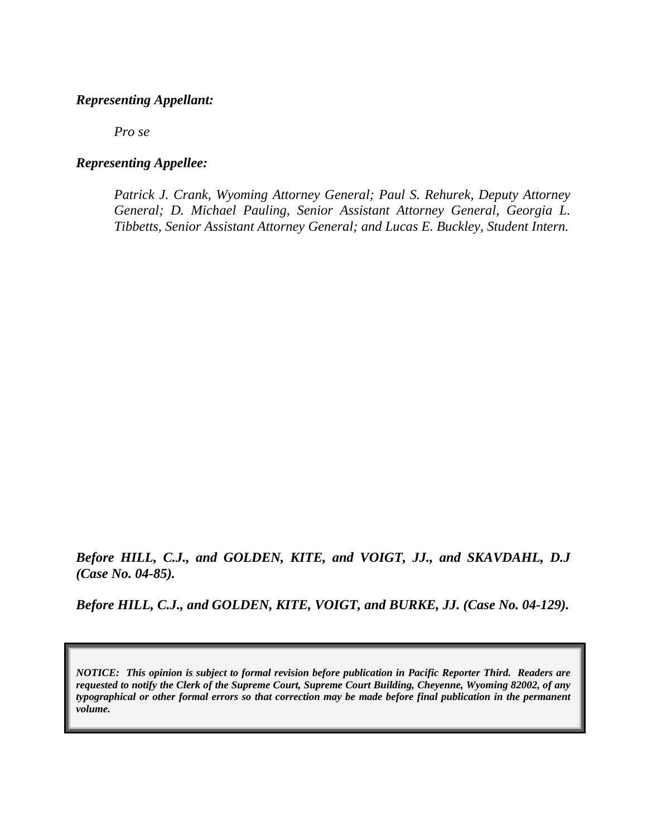#### *Representing Appellant:*

*Pro se* 

#### *Representing Appellee:*

*Patrick J. Crank, Wyoming Attorney General; Paul S. Rehurek, Deputy Attorney General; D. Michael Pauling, Senior Assistant Attorney General, Georgia L. Tibbetts, Senior Assistant Attorney General; and Lucas E. Buckley, Student Intern.* 

*Before HILL, C.J., and GOLDEN, KITE, and VOIGT, JJ., and SKAVDAHL, D.J (Case No. 04-85).* 

*Before HILL, C.J., and GOLDEN, KITE, VOIGT, and BURKE, JJ. (Case No. 04-129).* 

*NOTICE: This opinion is subject to formal revision before publication in Pacific Reporter Third. Readers are requested to notify the Clerk of the Supreme Court, Supreme Court Building, Cheyenne, Wyoming 82002, of any typographical or other formal errors so that correction may be made before final publication in the permanent volume.*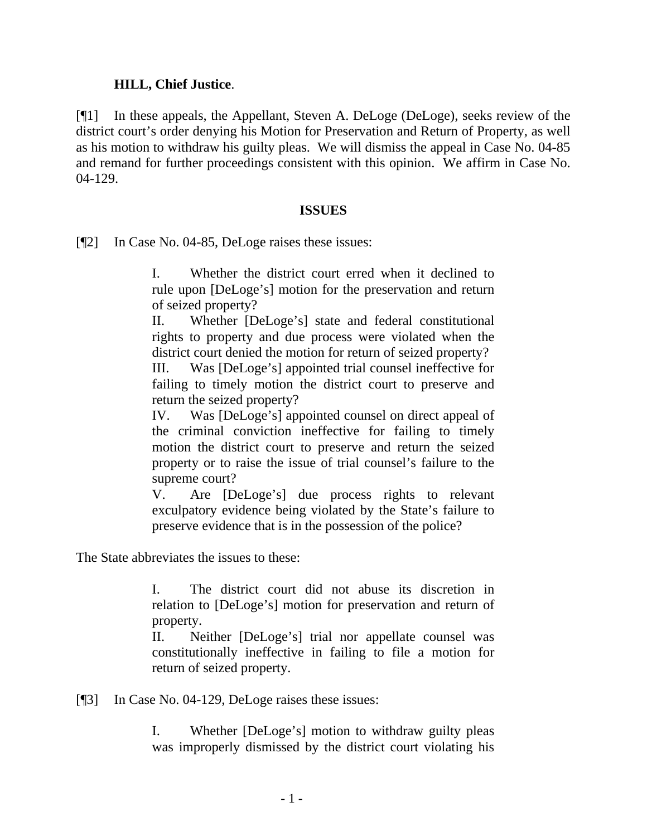#### **HILL, Chief Justice**.

[¶1] In these appeals, the Appellant, Steven A. DeLoge (DeLoge), seeks review of the district court's order denying his Motion for Preservation and Return of Property, as well as his motion to withdraw his guilty pleas. We will dismiss the appeal in Case No. 04-85 and remand for further proceedings consistent with this opinion. We affirm in Case No. 04-129.

#### **ISSUES**

[¶2] In Case No. 04-85, DeLoge raises these issues:

I. Whether the district court erred when it declined to rule upon [DeLoge's] motion for the preservation and return of seized property?

II. Whether [DeLoge's] state and federal constitutional rights to property and due process were violated when the district court denied the motion for return of seized property?

III. Was [DeLoge's] appointed trial counsel ineffective for failing to timely motion the district court to preserve and return the seized property?

IV. Was [DeLoge's] appointed counsel on direct appeal of the criminal conviction ineffective for failing to timely motion the district court to preserve and return the seized property or to raise the issue of trial counsel's failure to the supreme court?

V. Are [DeLoge's] due process rights to relevant exculpatory evidence being violated by the State's failure to preserve evidence that is in the possession of the police?

The State abbreviates the issues to these:

I. The district court did not abuse its discretion in relation to [DeLoge's] motion for preservation and return of property.

II. Neither [DeLoge's] trial nor appellate counsel was constitutionally ineffective in failing to file a motion for return of seized property.

[¶3] In Case No. 04-129, DeLoge raises these issues:

I. Whether [DeLoge's] motion to withdraw guilty pleas was improperly dismissed by the district court violating his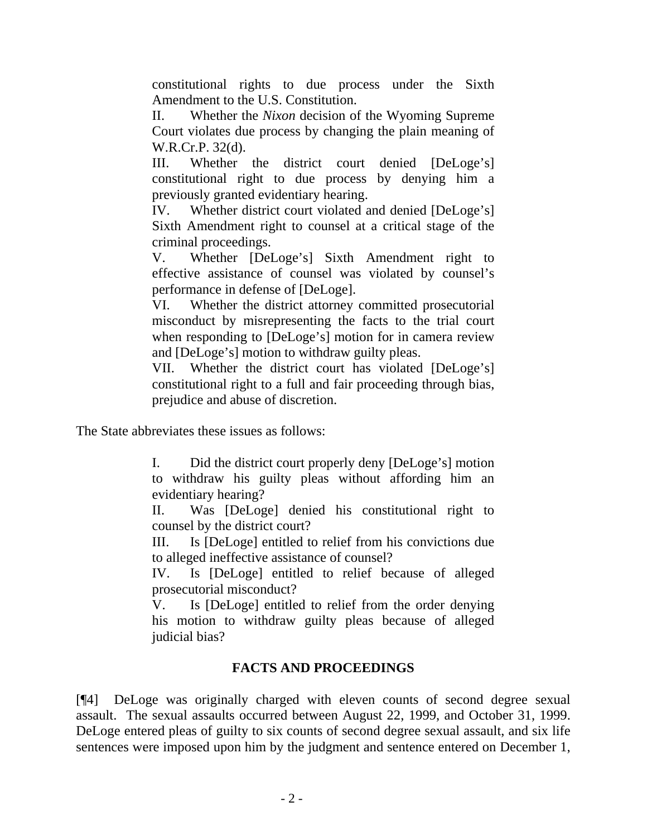constitutional rights to due process under the Sixth Amendment to the U.S. Constitution.

II. Whether the *Nixon* decision of the Wyoming Supreme Court violates due process by changing the plain meaning of W.R.Cr.P. 32(d).

III. Whether the district court denied [DeLoge's] constitutional right to due process by denying him a previously granted evidentiary hearing.

IV. Whether district court violated and denied [DeLoge's] Sixth Amendment right to counsel at a critical stage of the criminal proceedings.

V. Whether [DeLoge's] Sixth Amendment right to effective assistance of counsel was violated by counsel's performance in defense of [DeLoge].

VI. Whether the district attorney committed prosecutorial misconduct by misrepresenting the facts to the trial court when responding to [DeLoge's] motion for in camera review and [DeLoge's] motion to withdraw guilty pleas.

VII. Whether the district court has violated [DeLoge's] constitutional right to a full and fair proceeding through bias, prejudice and abuse of discretion.

The State abbreviates these issues as follows:

I. Did the district court properly deny [DeLoge's] motion to withdraw his guilty pleas without affording him an evidentiary hearing?

II. Was [DeLoge] denied his constitutional right to counsel by the district court?

III. Is [DeLoge] entitled to relief from his convictions due to alleged ineffective assistance of counsel?

IV. Is [DeLoge] entitled to relief because of alleged prosecutorial misconduct?

V. Is [DeLoge] entitled to relief from the order denying his motion to withdraw guilty pleas because of alleged judicial bias?

## **FACTS AND PROCEEDINGS**

[¶4] DeLoge was originally charged with eleven counts of second degree sexual assault. The sexual assaults occurred between August 22, 1999, and October 31, 1999. DeLoge entered pleas of guilty to six counts of second degree sexual assault, and six life sentences were imposed upon him by the judgment and sentence entered on December 1,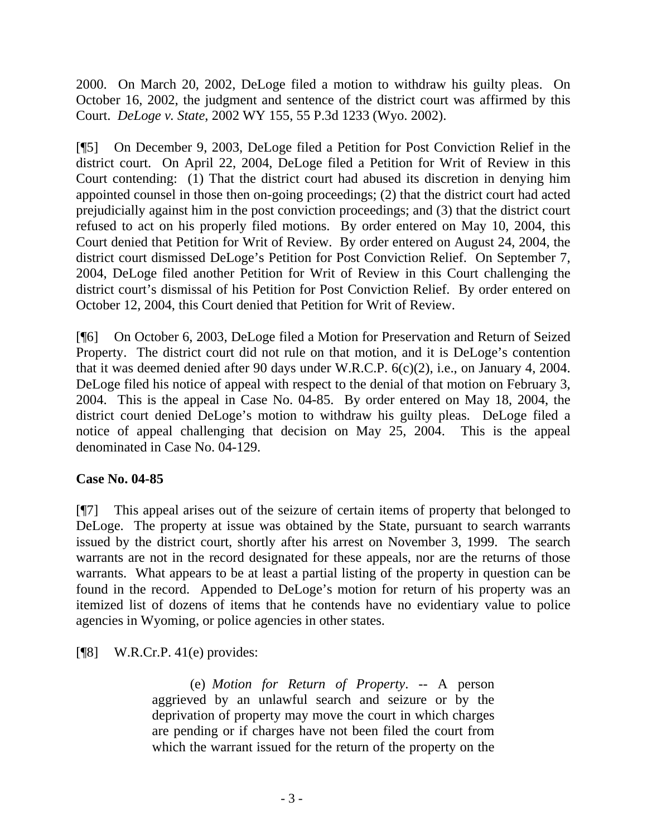2000. On March 20, 2002, DeLoge filed a motion to withdraw his guilty pleas. On October 16, 2002, the judgment and sentence of the district court was affirmed by this Court. *DeLoge v. State*, 2002 WY 155, 55 P.3d 1233 (Wyo. 2002).

[¶5] On December 9, 2003, DeLoge filed a Petition for Post Conviction Relief in the district court. On April 22, 2004, DeLoge filed a Petition for Writ of Review in this Court contending: (1) That the district court had abused its discretion in denying him appointed counsel in those then on-going proceedings; (2) that the district court had acted prejudicially against him in the post conviction proceedings; and (3) that the district court refused to act on his properly filed motions. By order entered on May 10, 2004, this Court denied that Petition for Writ of Review. By order entered on August 24, 2004, the district court dismissed DeLoge's Petition for Post Conviction Relief. On September 7, 2004, DeLoge filed another Petition for Writ of Review in this Court challenging the district court's dismissal of his Petition for Post Conviction Relief. By order entered on October 12, 2004, this Court denied that Petition for Writ of Review.

[¶6] On October 6, 2003, DeLoge filed a Motion for Preservation and Return of Seized Property. The district court did not rule on that motion, and it is DeLoge's contention that it was deemed denied after 90 days under W.R.C.P. 6(c)(2), i.e., on January 4, 2004. DeLoge filed his notice of appeal with respect to the denial of that motion on February 3, 2004. This is the appeal in Case No. 04-85. By order entered on May 18, 2004, the district court denied DeLoge's motion to withdraw his guilty pleas. DeLoge filed a notice of appeal challenging that decision on May 25, 2004. This is the appeal denominated in Case No. 04-129.

## **Case No. 04-85**

[¶7] This appeal arises out of the seizure of certain items of property that belonged to DeLoge. The property at issue was obtained by the State, pursuant to search warrants issued by the district court, shortly after his arrest on November 3, 1999. The search warrants are not in the record designated for these appeals, nor are the returns of those warrants. What appears to be at least a partial listing of the property in question can be found in the record. Appended to DeLoge's motion for return of his property was an itemized list of dozens of items that he contends have no evidentiary value to police agencies in Wyoming, or police agencies in other states.

 $[\P{8}]$  W.R.Cr.P. 41(e) provides:

 (e) *Motion for Return of Property*. -- A person aggrieved by an unlawful search and seizure or by the deprivation of property may move the court in which charges are pending or if charges have not been filed the court from which the warrant issued for the return of the property on the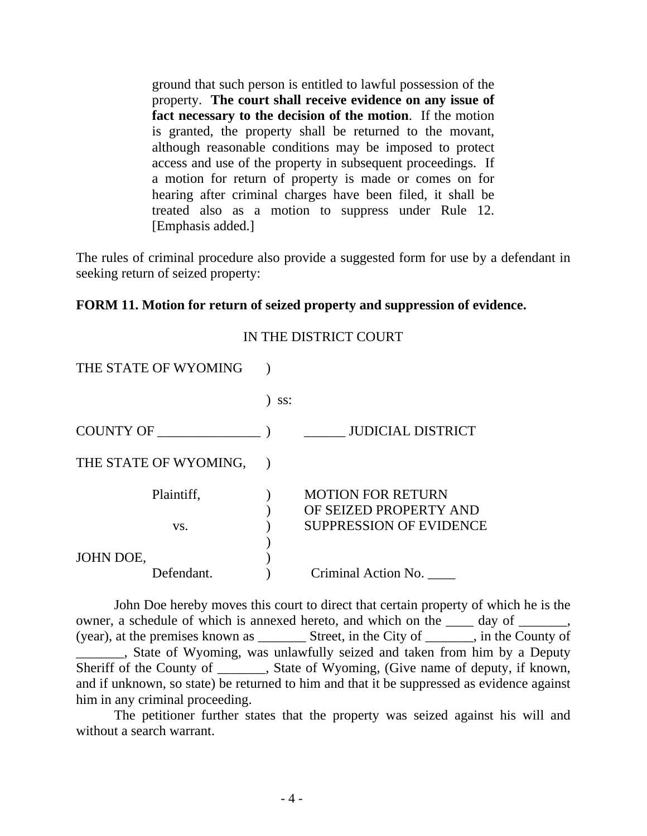ground that such person is entitled to lawful possession of the property. **The court shall receive evidence on any issue of fact necessary to the decision of the motion**. If the motion is granted, the property shall be returned to the movant, although reasonable conditions may be imposed to protect access and use of the property in subsequent proceedings. If a motion for return of property is made or comes on for hearing after criminal charges have been filed, it shall be treated also as a motion to suppress under Rule 12. [Emphasis added.]

The rules of criminal procedure also provide a suggested form for use by a defendant in seeking return of seized property:

### **FORM 11. Motion for return of seized property and suppression of evidence.**

| THE STATE OF WYOMING    |     |                                                                                      |
|-------------------------|-----|--------------------------------------------------------------------------------------|
|                         | SS: |                                                                                      |
| <b>COUNTY OF</b>        |     | <b>JUDICIAL DISTRICT</b>                                                             |
| THE STATE OF WYOMING,   |     |                                                                                      |
| Plaintiff,<br>VS.       |     | <b>MOTION FOR RETURN</b><br>OF SEIZED PROPERTY AND<br><b>SUPPRESSION OF EVIDENCE</b> |
| JOHN DOE,<br>Defendant. |     | Criminal Action No.                                                                  |

IN THE DISTRICT COURT

John Doe hereby moves this court to direct that certain property of which he is the owner, a schedule of which is annexed hereto, and which on the  $\_\_\_\_$  day of  $\_\_\_\_\_\,,$ (year), at the premises known as \_\_\_\_\_\_\_ Street, in the City of \_\_\_\_\_\_\_, in the County of . State of Wyoming, was unlawfully seized and taken from him by a Deputy Sheriff of the County of \_\_\_\_\_\_\_, State of Wyoming, (Give name of deputy, if known, and if unknown, so state) be returned to him and that it be suppressed as evidence against him in any criminal proceeding.

The petitioner further states that the property was seized against his will and without a search warrant.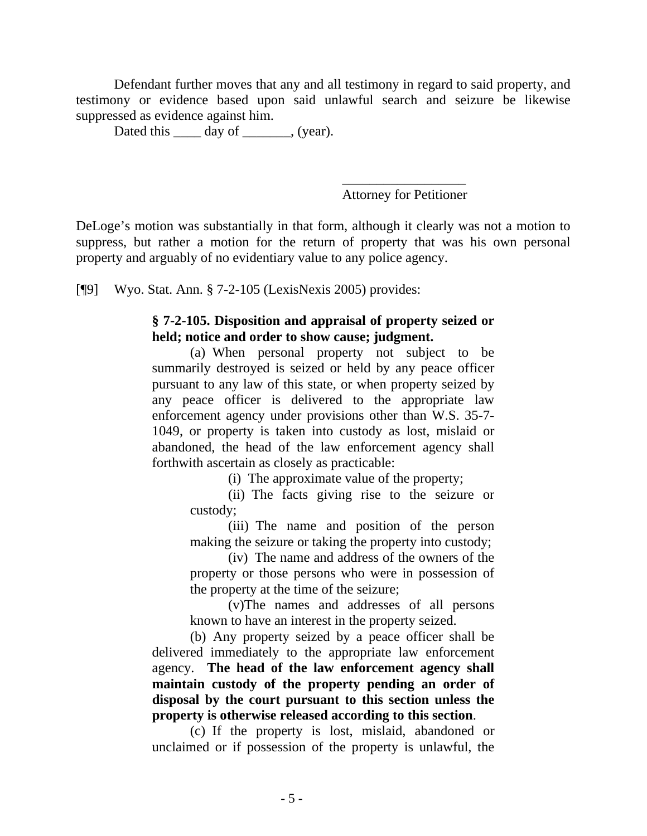Defendant further moves that any and all testimony in regard to said property, and testimony or evidence based upon said unlawful search and seizure be likewise suppressed as evidence against him.

Dated this <u>equal</u> day of <u>equal</u>, (year).

\_\_\_\_\_\_\_\_\_\_\_\_\_\_\_\_\_\_ Attorney for Petitioner

DeLoge's motion was substantially in that form, although it clearly was not a motion to suppress, but rather a motion for the return of property that was his own personal property and arguably of no evidentiary value to any police agency.

[¶9] Wyo. Stat. Ann. § 7-2-105 (LexisNexis 2005) provides:

#### **§ 7-2-105. Disposition and appraisal of property seized or held; notice and order to show cause; judgment.**

 (a) When personal property not subject to be summarily destroyed is seized or held by any peace officer pursuant to any law of this state, or when property seized by any peace officer is delivered to the appropriate law enforcement agency under provisions other than W.S. 35-7- 1049, or property is taken into custody as lost, mislaid or abandoned, the head of the law enforcement agency shall forthwith ascertain as closely as practicable:

(i) The approximate value of the property;

 (ii) The facts giving rise to the seizure or custody;

(iii) The name and position of the person making the seizure or taking the property into custody;

(iv) The name and address of the owners of the property or those persons who were in possession of the property at the time of the seizure;

(v)The names and addresses of all persons known to have an interest in the property seized.

 (b) Any property seized by a peace officer shall be delivered immediately to the appropriate law enforcement agency. **The head of the law enforcement agency shall maintain custody of the property pending an order of disposal by the court pursuant to this section unless the property is otherwise released according to this section**.

 (c) If the property is lost, mislaid, abandoned or unclaimed or if possession of the property is unlawful, the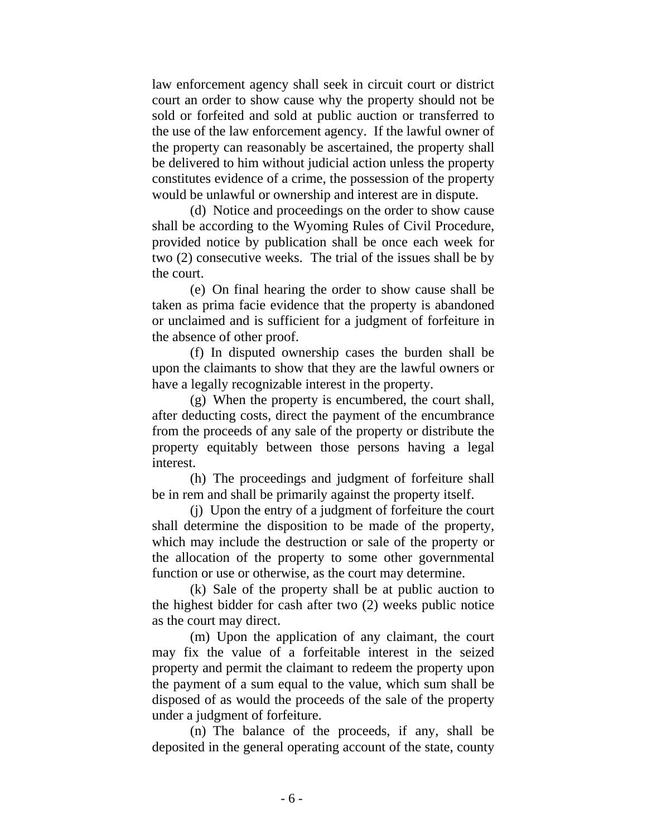law enforcement agency shall seek in circuit court or district court an order to show cause why the property should not be sold or forfeited and sold at public auction or transferred to the use of the law enforcement agency. If the lawful owner of the property can reasonably be ascertained, the property shall be delivered to him without judicial action unless the property constitutes evidence of a crime, the possession of the property would be unlawful or ownership and interest are in dispute.

 (d) Notice and proceedings on the order to show cause shall be according to the Wyoming Rules of Civil Procedure, provided notice by publication shall be once each week for two (2) consecutive weeks. The trial of the issues shall be by the court.

 (e) On final hearing the order to show cause shall be taken as prima facie evidence that the property is abandoned or unclaimed and is sufficient for a judgment of forfeiture in the absence of other proof.

 (f) In disputed ownership cases the burden shall be upon the claimants to show that they are the lawful owners or have a legally recognizable interest in the property.

 (g) When the property is encumbered, the court shall, after deducting costs, direct the payment of the encumbrance from the proceeds of any sale of the property or distribute the property equitably between those persons having a legal interest.

 (h) The proceedings and judgment of forfeiture shall be in rem and shall be primarily against the property itself.

 (j) Upon the entry of a judgment of forfeiture the court shall determine the disposition to be made of the property, which may include the destruction or sale of the property or the allocation of the property to some other governmental function or use or otherwise, as the court may determine.

 (k) Sale of the property shall be at public auction to the highest bidder for cash after two (2) weeks public notice as the court may direct.

 (m) Upon the application of any claimant, the court may fix the value of a forfeitable interest in the seized property and permit the claimant to redeem the property upon the payment of a sum equal to the value, which sum shall be disposed of as would the proceeds of the sale of the property under a judgment of forfeiture.

 (n) The balance of the proceeds, if any, shall be deposited in the general operating account of the state, county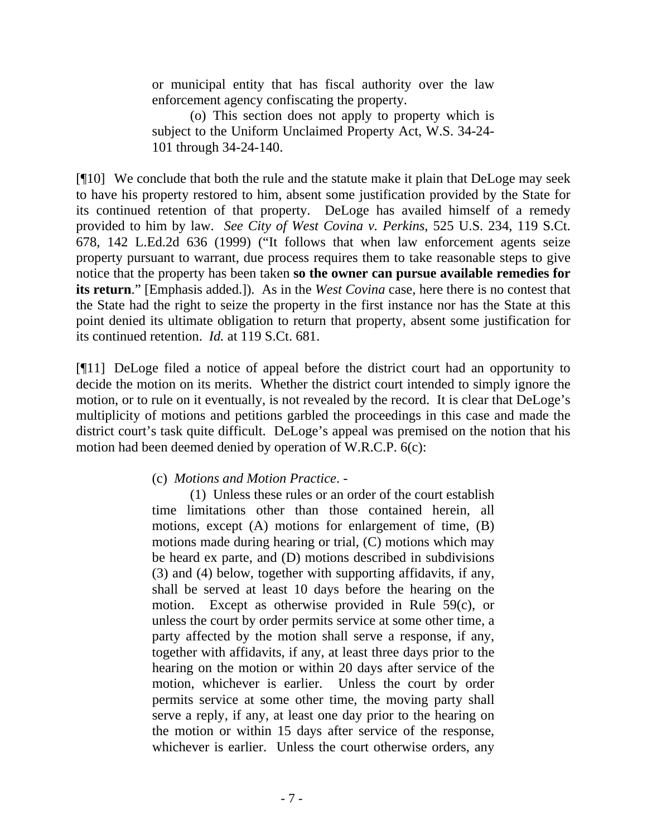or municipal entity that has fiscal authority over the law enforcement agency confiscating the property.

 (o) This section does not apply to property which is subject to the Uniform Unclaimed Property Act, W.S. 34-24- 101 through 34-24-140.

[¶10] We conclude that both the rule and the statute make it plain that DeLoge may seek to have his property restored to him, absent some justification provided by the State for its continued retention of that property. DeLoge has availed himself of a remedy provided to him by law. *See City of West Covina v. Perkins*, 525 U.S. 234, 119 S.Ct. 678, 142 L.Ed.2d 636 (1999) ("It follows that when law enforcement agents seize property pursuant to warrant, due process requires them to take reasonable steps to give notice that the property has been taken **so the owner can pursue available remedies for its return**." [Emphasis added.]). As in the *West Covina* case, here there is no contest that the State had the right to seize the property in the first instance nor has the State at this point denied its ultimate obligation to return that property, absent some justification for its continued retention. *Id.* at 119 S.Ct. 681.

[¶11] DeLoge filed a notice of appeal before the district court had an opportunity to decide the motion on its merits. Whether the district court intended to simply ignore the motion, or to rule on it eventually, is not revealed by the record. It is clear that DeLoge's multiplicity of motions and petitions garbled the proceedings in this case and made the district court's task quite difficult. DeLoge's appeal was premised on the notion that his motion had been deemed denied by operation of W.R.C.P. 6(c):

#### (c) *Motions and Motion Practice*. -

(1) Unless these rules or an order of the court establish time limitations other than those contained herein, all motions, except (A) motions for enlargement of time, (B) motions made during hearing or trial, (C) motions which may be heard ex parte, and (D) motions described in subdivisions (3) and (4) below, together with supporting affidavits, if any, shall be served at least 10 days before the hearing on the motion. Except as otherwise provided in Rule 59(c), or unless the court by order permits service at some other time, a party affected by the motion shall serve a response, if any, together with affidavits, if any, at least three days prior to the hearing on the motion or within 20 days after service of the motion, whichever is earlier. Unless the court by order permits service at some other time, the moving party shall serve a reply, if any, at least one day prior to the hearing on the motion or within 15 days after service of the response, whichever is earlier. Unless the court otherwise orders, any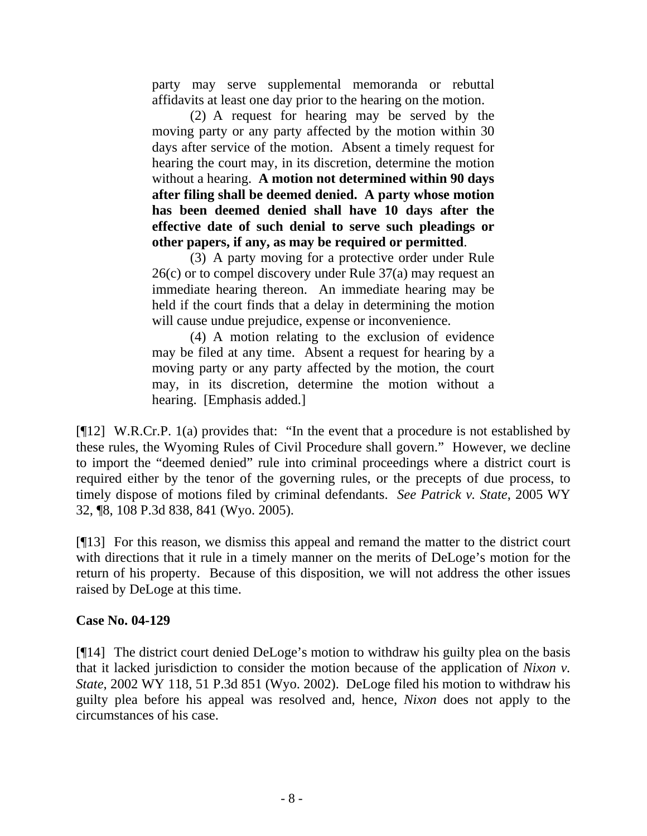party may serve supplemental memoranda or rebuttal affidavits at least one day prior to the hearing on the motion.

 (2) A request for hearing may be served by the moving party or any party affected by the motion within 30 days after service of the motion. Absent a timely request for hearing the court may, in its discretion, determine the motion without a hearing. **A motion not determined within 90 days after filing shall be deemed denied. A party whose motion has been deemed denied shall have 10 days after the effective date of such denial to serve such pleadings or other papers, if any, as may be required or permitted**.

 (3) A party moving for a protective order under Rule 26(c) or to compel discovery under Rule 37(a) may request an immediate hearing thereon. An immediate hearing may be held if the court finds that a delay in determining the motion will cause undue prejudice, expense or inconvenience.

 (4) A motion relating to the exclusion of evidence may be filed at any time. Absent a request for hearing by a moving party or any party affected by the motion, the court may, in its discretion, determine the motion without a hearing. [Emphasis added.]

[¶12] W.R.Cr.P. 1(a) provides that: "In the event that a procedure is not established by these rules, the Wyoming Rules of Civil Procedure shall govern." However, we decline to import the "deemed denied" rule into criminal proceedings where a district court is required either by the tenor of the governing rules, or the precepts of due process, to timely dispose of motions filed by criminal defendants. *See Patrick v. State*, 2005 WY 32, ¶8, 108 P.3d 838, 841 (Wyo. 2005).

[¶13] For this reason, we dismiss this appeal and remand the matter to the district court with directions that it rule in a timely manner on the merits of DeLoge's motion for the return of his property. Because of this disposition, we will not address the other issues raised by DeLoge at this time.

#### **Case No. 04-129**

[¶14] The district court denied DeLoge's motion to withdraw his guilty plea on the basis that it lacked jurisdiction to consider the motion because of the application of *Nixon v. State*, 2002 WY 118, 51 P.3d 851 (Wyo. 2002). DeLoge filed his motion to withdraw his guilty plea before his appeal was resolved and, hence, *Nixon* does not apply to the circumstances of his case.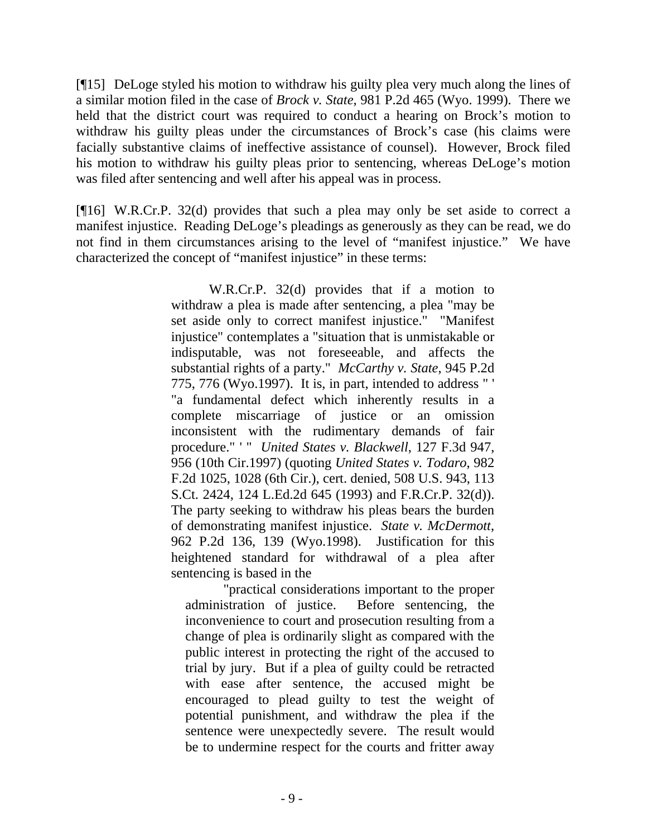[¶15] DeLoge styled his motion to withdraw his guilty plea very much along the lines of a similar motion filed in the case of *Brock v. State*, 981 P.2d 465 (Wyo. 1999). There we held that the district court was required to conduct a hearing on Brock's motion to withdraw his guilty pleas under the circumstances of Brock's case (his claims were facially substantive claims of ineffective assistance of counsel). However, Brock filed his motion to withdraw his guilty pleas prior to sentencing, whereas DeLoge's motion was filed after sentencing and well after his appeal was in process.

[¶16] W.R.Cr.P. 32(d) provides that such a plea may only be set aside to correct a manifest injustice. Reading DeLoge's pleadings as generously as they can be read, we do not find in them circumstances arising to the level of "manifest injustice." We have characterized the concept of "manifest injustice" in these terms:

> W.R.Cr.P. 32(d) provides that if a motion to withdraw a plea is made after sentencing, a plea "may be set aside only to correct manifest injustice." "Manifest injustice" contemplates a "situation that is unmistakable or indisputable, was not foreseeable, and affects the substantial rights of a party." *McCarthy v. State*, 945 P.2d 775, 776 (Wyo.1997). It is, in part, intended to address " ' "a fundamental defect which inherently results in a complete miscarriage of justice or an omission inconsistent with the rudimentary demands of fair procedure." ' " *United States v. Blackwell*, 127 F.3d 947, 956 (10th Cir.1997) (quoting *United States v. Todaro*, 982 F.2d 1025, 1028 (6th Cir.), cert. denied, 508 U.S. 943, 113 S.Ct. 2424, 124 L.Ed.2d 645 (1993) and F.R.Cr.P. 32(d)). The party seeking to withdraw his pleas bears the burden of demonstrating manifest injustice. *State v. McDermott*, 962 P.2d 136, 139 (Wyo.1998). Justification for this heightened standard for withdrawal of a plea after sentencing is based in the

"practical considerations important to the proper administration of justice. Before sentencing, the inconvenience to court and prosecution resulting from a change of plea is ordinarily slight as compared with the public interest in protecting the right of the accused to trial by jury. But if a plea of guilty could be retracted with ease after sentence, the accused might be encouraged to plead guilty to test the weight of potential punishment, and withdraw the plea if the sentence were unexpectedly severe. The result would be to undermine respect for the courts and fritter away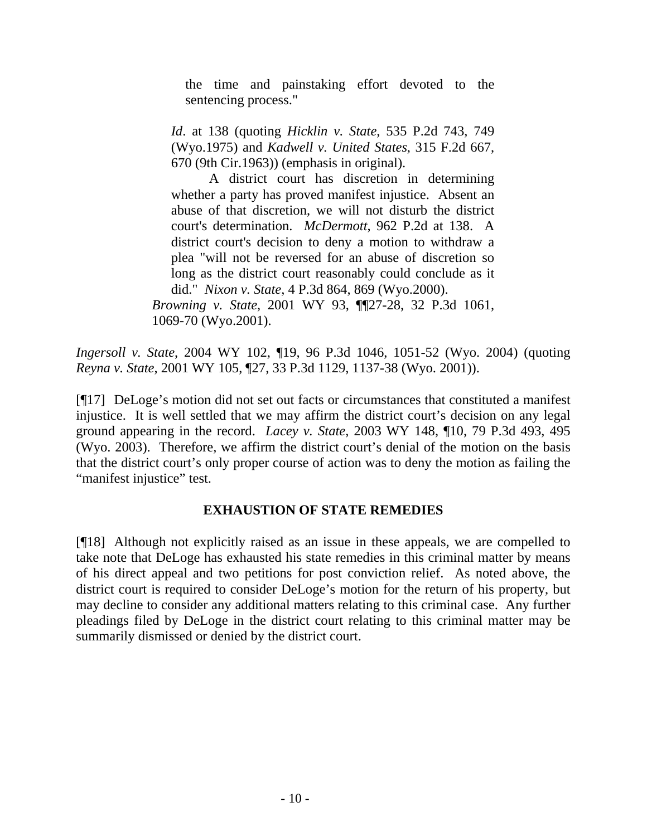the time and painstaking effort devoted to the sentencing process."

*Id*. at 138 (quoting *Hicklin v. State*, 535 P.2d 743, 749 (Wyo.1975) and *Kadwell v. United States*, 315 F.2d 667, 670 (9th Cir.1963)) (emphasis in original).

A district court has discretion in determining whether a party has proved manifest injustice. Absent an abuse of that discretion, we will not disturb the district court's determination. *McDermott*, 962 P.2d at 138. A district court's decision to deny a motion to withdraw a plea "will not be reversed for an abuse of discretion so long as the district court reasonably could conclude as it did." *Nixon v. State*, 4 P.3d 864, 869 (Wyo.2000).

*Browning v. State*, 2001 WY 93, ¶¶27-28, 32 P.3d 1061, 1069-70 (Wyo.2001).

*Ingersoll v. State*, 2004 WY 102, ¶19, 96 P.3d 1046, 1051-52 (Wyo. 2004) (quoting *Reyna v. State*, 2001 WY 105, ¶27, 33 P.3d 1129, 1137-38 (Wyo. 2001)).

[¶17] DeLoge's motion did not set out facts or circumstances that constituted a manifest injustice. It is well settled that we may affirm the district court's decision on any legal ground appearing in the record. *Lacey v. State*, 2003 WY 148, ¶10, 79 P.3d 493, 495 (Wyo. 2003). Therefore, we affirm the district court's denial of the motion on the basis that the district court's only proper course of action was to deny the motion as failing the "manifest injustice" test.

## **EXHAUSTION OF STATE REMEDIES**

[¶18] Although not explicitly raised as an issue in these appeals, we are compelled to take note that DeLoge has exhausted his state remedies in this criminal matter by means of his direct appeal and two petitions for post conviction relief. As noted above, the district court is required to consider DeLoge's motion for the return of his property, but may decline to consider any additional matters relating to this criminal case. Any further pleadings filed by DeLoge in the district court relating to this criminal matter may be summarily dismissed or denied by the district court.